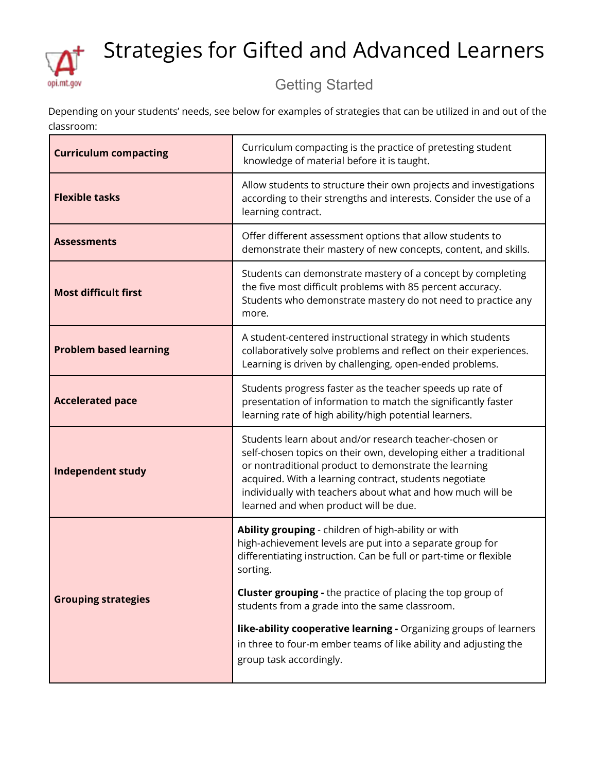

## Strategies for Gifted and Advanced Learners

## Getting Started

Depending on your students' needs, see below for examples of strategies that can be utilized in and out of the classroom:

| <b>Curriculum compacting</b>  | Curriculum compacting is the practice of pretesting student<br>knowledge of material before it is taught.                                                                                                                                                                                                                                            |
|-------------------------------|------------------------------------------------------------------------------------------------------------------------------------------------------------------------------------------------------------------------------------------------------------------------------------------------------------------------------------------------------|
| <b>Flexible tasks</b>         | Allow students to structure their own projects and investigations<br>according to their strengths and interests. Consider the use of a<br>learning contract.                                                                                                                                                                                         |
| <b>Assessments</b>            | Offer different assessment options that allow students to<br>demonstrate their mastery of new concepts, content, and skills.                                                                                                                                                                                                                         |
| <b>Most difficult first</b>   | Students can demonstrate mastery of a concept by completing<br>the five most difficult problems with 85 percent accuracy.<br>Students who demonstrate mastery do not need to practice any<br>more.                                                                                                                                                   |
| <b>Problem based learning</b> | A student-centered instructional strategy in which students<br>collaboratively solve problems and reflect on their experiences.<br>Learning is driven by challenging, open-ended problems.                                                                                                                                                           |
| <b>Accelerated pace</b>       | Students progress faster as the teacher speeds up rate of<br>presentation of information to match the significantly faster<br>learning rate of high ability/high potential learners.                                                                                                                                                                 |
| <b>Independent study</b>      | Students learn about and/or research teacher-chosen or<br>self-chosen topics on their own, developing either a traditional<br>or nontraditional product to demonstrate the learning<br>acquired. With a learning contract, students negotiate<br>individually with teachers about what and how much will be<br>learned and when product will be due. |
|                               | Ability grouping - children of high-ability or with<br>high-achievement levels are put into a separate group for<br>differentiating instruction. Can be full or part-time or flexible<br>sorting.                                                                                                                                                    |
| <b>Grouping strategies</b>    | <b>Cluster grouping -</b> the practice of placing the top group of<br>students from a grade into the same classroom.                                                                                                                                                                                                                                 |
|                               | like-ability cooperative learning - Organizing groups of learners<br>in three to four-m ember teams of like ability and adjusting the<br>group task accordingly.                                                                                                                                                                                     |